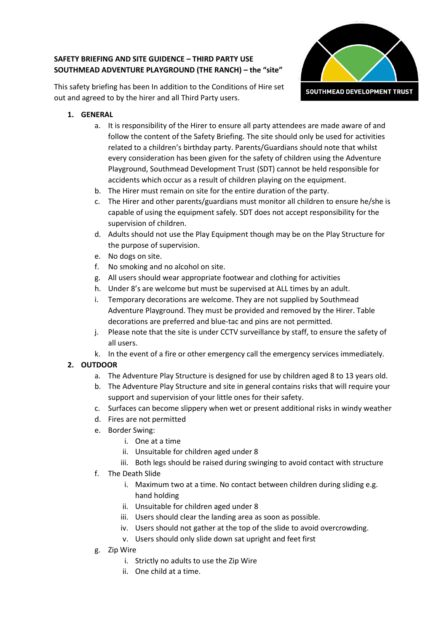# **SAFETY BRIEFING AND SITE GUIDENCE – THIRD PARTY USE SOUTHMEAD ADVENTURE PLAYGROUND (THE RANCH) – the "site"**



This safety briefing has been In addition to the Conditions of Hire set out and agreed to by the hirer and all Third Party users.

- **1. GENERAL**
	- a. It is responsibility of the Hirer to ensure all party attendees are made aware of and follow the content of the Safety Briefing. The site should only be used for activities related to a children's birthday party. Parents/Guardians should note that whilst every consideration has been given for the safety of children using the Adventure Playground, Southmead Development Trust (SDT) cannot be held responsible for accidents which occur as a result of children playing on the equipment.
	- b. The Hirer must remain on site for the entire duration of the party.
	- c. The Hirer and other parents/guardians must monitor all children to ensure he/she is capable of using the equipment safely. SDT does not accept responsibility for the supervision of children.
	- d. Adults should not use the Play Equipment though may be on the Play Structure for the purpose of supervision.
	- e. No dogs on site.
	- f. No smoking and no alcohol on site.
	- g. All users should wear appropriate footwear and clothing for activities
	- h. Under 8's are welcome but must be supervised at ALL times by an adult.
	- i. Temporary decorations are welcome. They are not supplied by Southmead Adventure Playground. They must be provided and removed by the Hirer. Table decorations are preferred and blue-tac and pins are not permitted.
	- j. Please note that the site is under CCTV surveillance by staff, to ensure the safety of all users.
	- k. In the event of a fire or other emergency call the emergency services immediately.

# **2. OUTDOOR**

- a. The Adventure Play Structure is designed for use by children aged 8 to 13 years old.
- b. The Adventure Play Structure and site in general contains risks that will require your support and supervision of your little ones for their safety.
- c. Surfaces can become slippery when wet or present additional risks in windy weather
- d. Fires are not permitted
- e. Border Swing:
	- i. One at a time
	- ii. Unsuitable for children aged under 8
	- iii. Both legs should be raised during swinging to avoid contact with structure
- f. The Death Slide
	- i. Maximum two at a time. No contact between children during sliding e.g. hand holding
	- ii. Unsuitable for children aged under 8
	- iii. Users should clear the landing area as soon as possible.
	- iv. Users should not gather at the top of the slide to avoid overcrowding.
	- v. Users should only slide down sat upright and feet first
- g. Zip Wire
	- i. Strictly no adults to use the Zip Wire
	- ii. One child at a time.